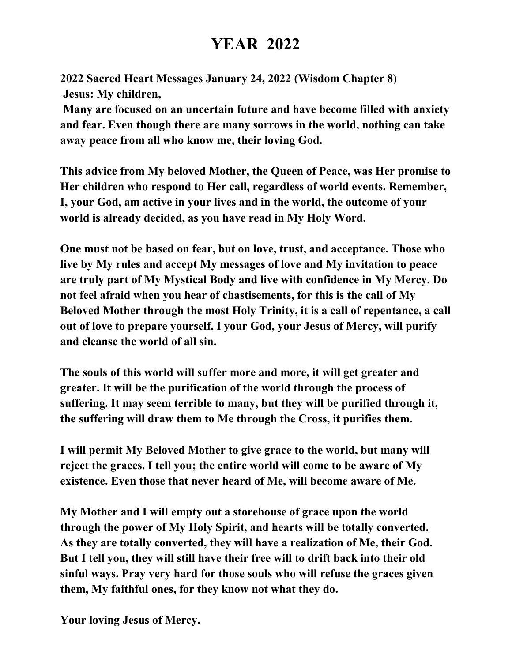## **YEAR 2022**

**2022 Sacred Heart Messages January 24, 2022 (Wisdom Chapter 8) Jesus: My children,**

**Many are focused on an uncertain future and have become filled with anxiety and fear. Even though there are many sorrows in the world, nothing can take away peace from all who know me, their loving God.** 

**This advice from My beloved Mother, the Queen of Peace, was Her promise to Her children who respond to Her call, regardless of world events. Remember, I, your God, am active in your lives and in the world, the outcome of your world is already decided, as you have read in My Holy Word.** 

**One must not be based on fear, but on love, trust, and acceptance. Those who live by My rules and accept My messages of love and My invitation to peace are truly part of My Mystical Body and live with confidence in My Mercy. Do not feel afraid when you hear of chastisements, for this is the call of My Beloved Mother through the most Holy Trinity, it is a call of repentance, a call out of love to prepare yourself. I your God, your Jesus of Mercy, will purify and cleanse the world of all sin.** 

**The souls of this world will suffer more and more, it will get greater and greater. It will be the purification of the world through the process of suffering. It may seem terrible to many, but they will be purified through it, the suffering will draw them to Me through the Cross, it purifies them.** 

**I will permit My Beloved Mother to give grace to the world, but many will reject the graces. I tell you; the entire world will come to be aware of My existence. Even those that never heard of Me, will become aware of Me.** 

**My Mother and I will empty out a storehouse of grace upon the world through the power of My Holy Spirit, and hearts will be totally converted. As they are totally converted, they will have a realization of Me, their God. But I tell you, they will still have their free will to drift back into their old sinful ways. Pray very hard for those souls who will refuse the graces given them, My faithful ones, for they know not what they do.**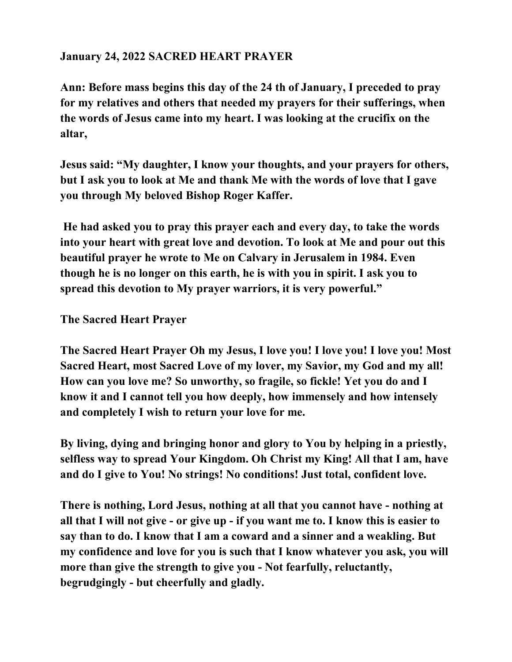## **January 24, 2022 SACRED HEART PRAYER**

**Ann: Before mass begins this day of the 24 th of January, I preceded to pray for my relatives and others that needed my prayers for their sufferings, when the words of Jesus came into my heart. I was looking at the crucifix on the altar,** 

**Jesus said: "My daughter, I know your thoughts, and your prayers for others, but I ask you to look at Me and thank Me with the words of love that I gave you through My beloved Bishop Roger Kaffer.**

**He had asked you to pray this prayer each and every day, to take the words into your heart with great love and devotion. To look at Me and pour out this beautiful prayer he wrote to Me on Calvary in Jerusalem in 1984. Even though he is no longer on this earth, he is with you in spirit. I ask you to spread this devotion to My prayer warriors, it is very powerful."** 

**The Sacred Heart Prayer**

**The Sacred Heart Prayer Oh my Jesus, I love you! I love you! I love you! Most Sacred Heart, most Sacred Love of my lover, my Savior, my God and my all! How can you love me? So unworthy, so fragile, so fickle! Yet you do and I know it and I cannot tell you how deeply, how immensely and how intensely and completely I wish to return your love for me.** 

**By living, dying and bringing honor and glory to You by helping in a priestly, selfless way to spread Your Kingdom. Oh Christ my King! All that I am, have and do I give to You! No strings! No conditions! Just total, confident love.** 

**There is nothing, Lord Jesus, nothing at all that you cannot have - nothing at all that I will not give - or give up - if you want me to. I know this is easier to say than to do. I know that I am a coward and a sinner and a weakling. But my confidence and love for you is such that I know whatever you ask, you will more than give the strength to give you - Not fearfully, reluctantly, begrudgingly - but cheerfully and gladly.**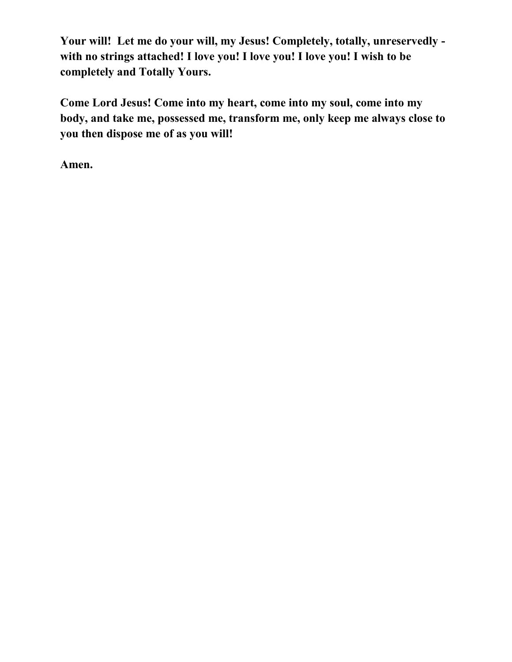**Your will! Let me do your will, my Jesus! Completely, totally, unreservedly with no strings attached! I love you! I love you! I love you! I wish to be completely and Totally Yours.**

**Come Lord Jesus! Come into my heart, come into my soul, come into my body, and take me, possessed me, transform me, only keep me always close to you then dispose me of as you will!** 

**Amen.**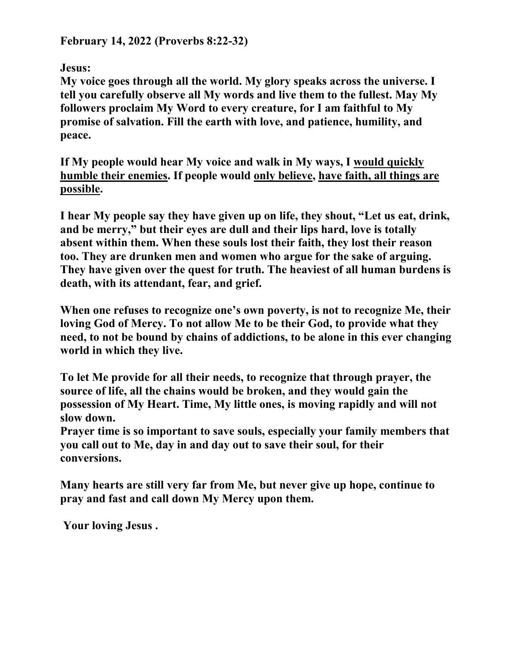**February 14, 2022 (Proverbs 8:22-32)**

**Jesus:**

**My voice goes through all the world. My glory speaks across the universe. I tell you carefully observe all My words and live them to the fullest. May My followers proclaim My Word to every creature, for I am faithful to My promise of salvation. Fill the earth with love, and patience, humility, and peace.**

**If My people would hear My voice and walk in My ways, I would quickly humble their enemies. If people would only believe, have faith, all things are possible.**

**I hear My people say they have given up on life, they shout, "Let us eat, drink, and be merry," but their eyes are dull and their lips hard, love is totally absent within them. When these souls lost their faith, they lost their reason too. They are drunken men and women who argue for the sake of arguing. They have given over the quest for truth. The heaviest of all human burdens is death, with its attendant, fear, and grief.**

**When one refuses to recognize one's own poverty, is not to recognize Me, their loving God of Mercy. To not allow Me to be their God, to provide what they need, to not be bound by chains of addictions, to be alone in this ever changing world in which they live.**

**To let Me provide for all their needs, to recognize that through prayer, the source of life, all the chains would be broken, and they would gain the possession of My Heart. Time, My little ones, is moving rapidly and will not slow down.**

**Prayer time is so important to save souls, especially your family members that you call out to Me, day in and day out to save their soul, for their conversions.**

**Many hearts are still very far from Me, but never give up hope, continue to pray and fast and call down My Mercy upon them.**

**Your loving Jesus .**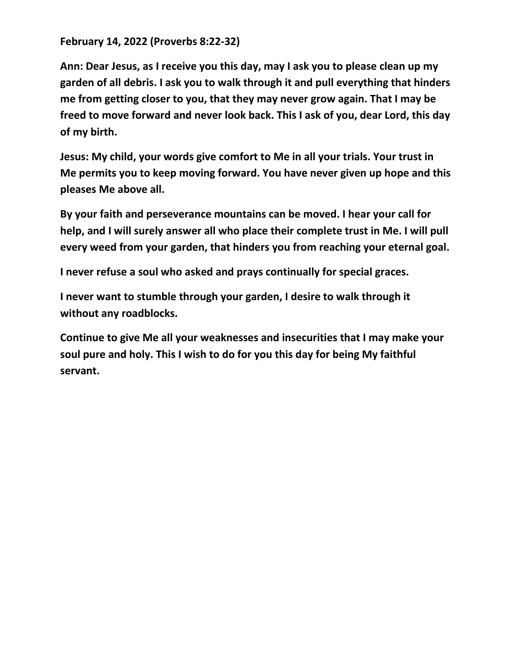**February 14, 2022 (Proverbs 8:22-32)**

**Ann: Dear Jesus, as I receive you this day, may I ask you to please clean up my garden of all debris. I ask you to walk through it and pull everything that hinders me from getting closer to you, that they may never grow again. That I may be freed to move forward and never look back. This I ask of you, dear Lord, this day of my birth.**

**Jesus: My child, your words give comfort to Me in all your trials. Your trust in Me permits you to keep moving forward. You have never given up hope and this pleases Me above all.** 

**By your faith and perseverance mountains can be moved. I hear your call for help, and I will surely answer all who place their complete trust in Me. I will pull every weed from your garden, that hinders you from reaching your eternal goal.** 

**I never refuse a soul who asked and prays continually for special graces.**

**I never want to stumble through your garden, I desire to walk through it without any roadblocks.** 

**Continue to give Me all your weaknesses and insecurities that I may make your soul pure and holy. This I wish to do for you this day for being My faithful servant.**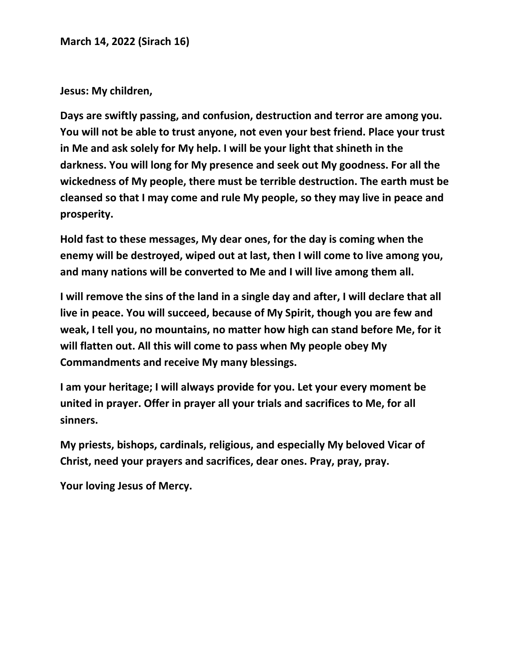**March 14, 2022 (Sirach 16)**

**Jesus: My children,** 

**Days are swiftly passing, and confusion, destruction and terror are among you. You will not be able to trust anyone, not even your best friend. Place your trust in Me and ask solely for My help. I will be your light that shineth in the darkness. You will long for My presence and seek out My goodness. For all the wickedness of My people, there must be terrible destruction. The earth must be cleansed so that I may come and rule My people, so they may live in peace and prosperity.**

**Hold fast to these messages, My dear ones, for the day is coming when the enemy will be destroyed, wiped out at last, then I will come to live among you, and many nations will be converted to Me and I will live among them all.** 

**I will remove the sins of the land in a single day and after, I will declare that all live in peace. You will succeed, because of My Spirit, though you are few and weak, I tell you, no mountains, no matter how high can stand before Me, for it will flatten out. All this will come to pass when My people obey My Commandments and receive My many blessings.** 

**I am your heritage; I will always provide for you. Let your every moment be united in prayer. Offer in prayer all your trials and sacrifices to Me, for all sinners.** 

**My priests, bishops, cardinals, religious, and especially My beloved Vicar of Christ, need your prayers and sacrifices, dear ones. Pray, pray, pray.**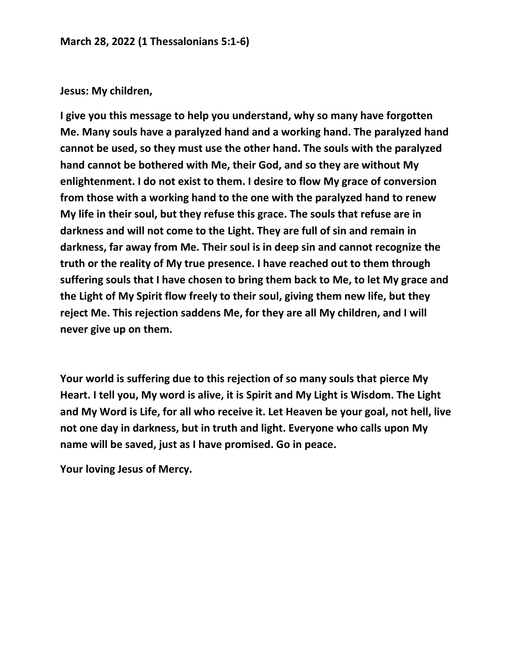## **Jesus: My children,**

**I give you this message to help you understand, why so many have forgotten Me. Many souls have a paralyzed hand and a working hand. The paralyzed hand cannot be used, so they must use the other hand. The souls with the paralyzed hand cannot be bothered with Me, their God, and so they are without My enlightenment. I do not exist to them. I desire to flow My grace of conversion from those with a working hand to the one with the paralyzed hand to renew My life in their soul, but they refuse this grace. The souls that refuse are in darkness and will not come to the Light. They are full of sin and remain in darkness, far away from Me. Their soul is in deep sin and cannot recognize the truth or the reality of My true presence. I have reached out to them through suffering souls that I have chosen to bring them back to Me, to let My grace and the Light of My Spirit flow freely to their soul, giving them new life, but they reject Me. This rejection saddens Me, for they are all My children, and I will never give up on them.** 

**Your world is suffering due to this rejection of so many souls that pierce My Heart. I tell you, My word is alive, it is Spirit and My Light is Wisdom. The Light and My Word is Life, for all who receive it. Let Heaven be your goal, not hell, live not one day in darkness, but in truth and light. Everyone who calls upon My name will be saved, just as I have promised. Go in peace.**